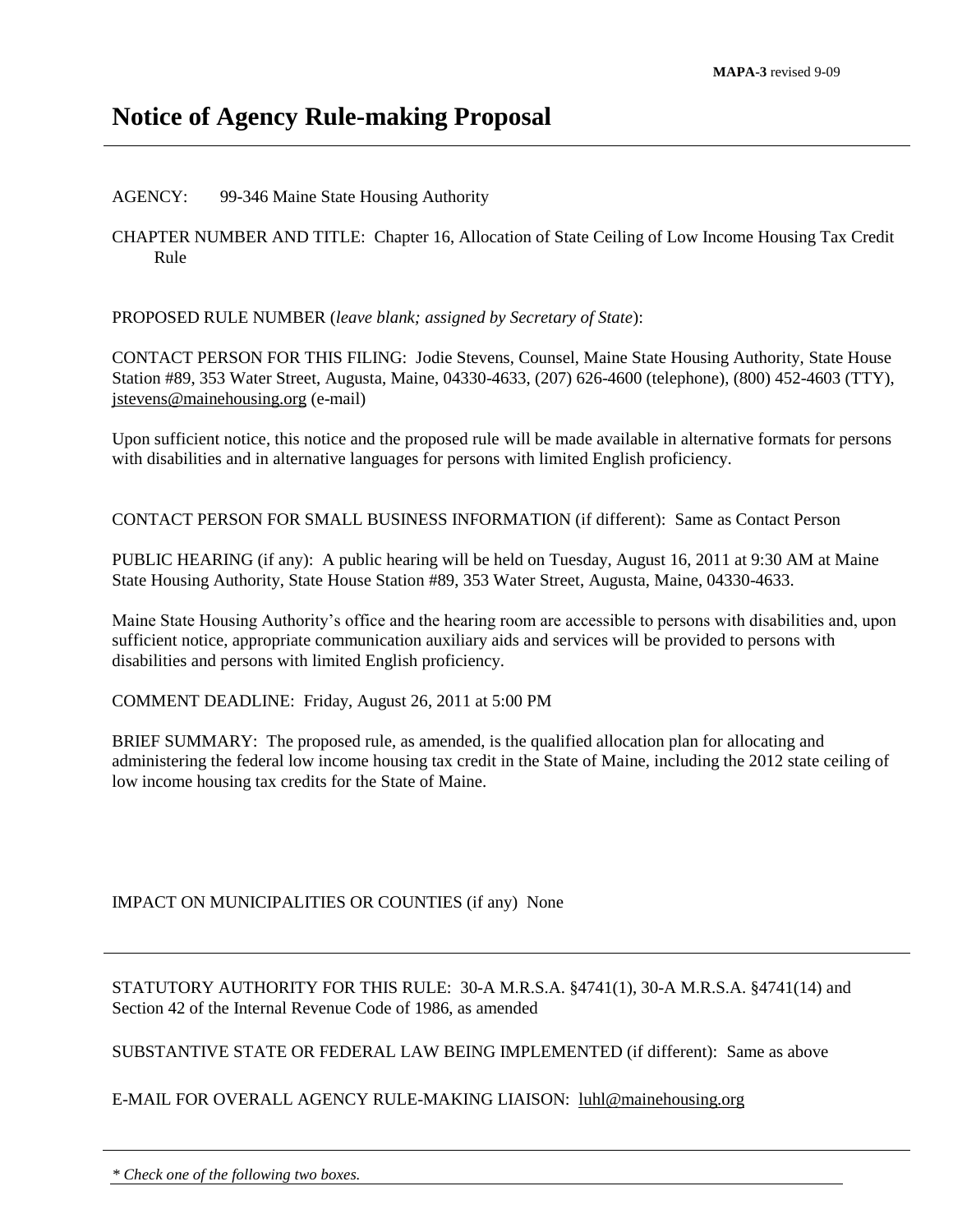# **Notice of Agency Rule-making Proposal**

#### AGENCY: 99-346 Maine State Housing Authority

CHAPTER NUMBER AND TITLE: Chapter 16, Allocation of State Ceiling of Low Income Housing Tax Credit Rule

PROPOSED RULE NUMBER (*leave blank; assigned by Secretary of State*):

CONTACT PERSON FOR THIS FILING: Jodie Stevens, Counsel, Maine State Housing Authority, State House Station #89, 353 Water Street, Augusta, Maine, 04330-4633, (207) 626-4600 (telephone), (800) 452-4603 (TTY), [jstevens@mainehousing.org](mailto:jstevens@mainehousing.org) (e-mail)

Upon sufficient notice, this notice and the proposed rule will be made available in alternative formats for persons with disabilities and in alternative languages for persons with limited English proficiency.

CONTACT PERSON FOR SMALL BUSINESS INFORMATION (if different): Same as Contact Person

PUBLIC HEARING (if any): A public hearing will be held on Tuesday, August 16, 2011 at 9:30 AM at Maine State Housing Authority, State House Station #89, 353 Water Street, Augusta, Maine, 04330-4633.

Maine State Housing Authority's office and the hearing room are accessible to persons with disabilities and, upon sufficient notice, appropriate communication auxiliary aids and services will be provided to persons with disabilities and persons with limited English proficiency.

COMMENT DEADLINE: Friday, August 26, 2011 at 5:00 PM

BRIEF SUMMARY: The proposed rule, as amended, is the qualified allocation plan for allocating and administering the federal low income housing tax credit in the State of Maine, including the 2012 state ceiling of low income housing tax credits for the State of Maine.

### IMPACT ON MUNICIPALITIES OR COUNTIES (if any) None

STATUTORY AUTHORITY FOR THIS RULE: 30-A M.R.S.A. §4741(1), 30-A M.R.S.A. §4741(14) and Section 42 of the Internal Revenue Code of 1986, as amended

SUBSTANTIVE STATE OR FEDERAL LAW BEING IMPLEMENTED (if different): Same as above

### E-MAIL FOR OVERALL AGENCY RULE-MAKING LIAISON: [luhl@mainehousing.org](mailto:luhl@mainehousing.org)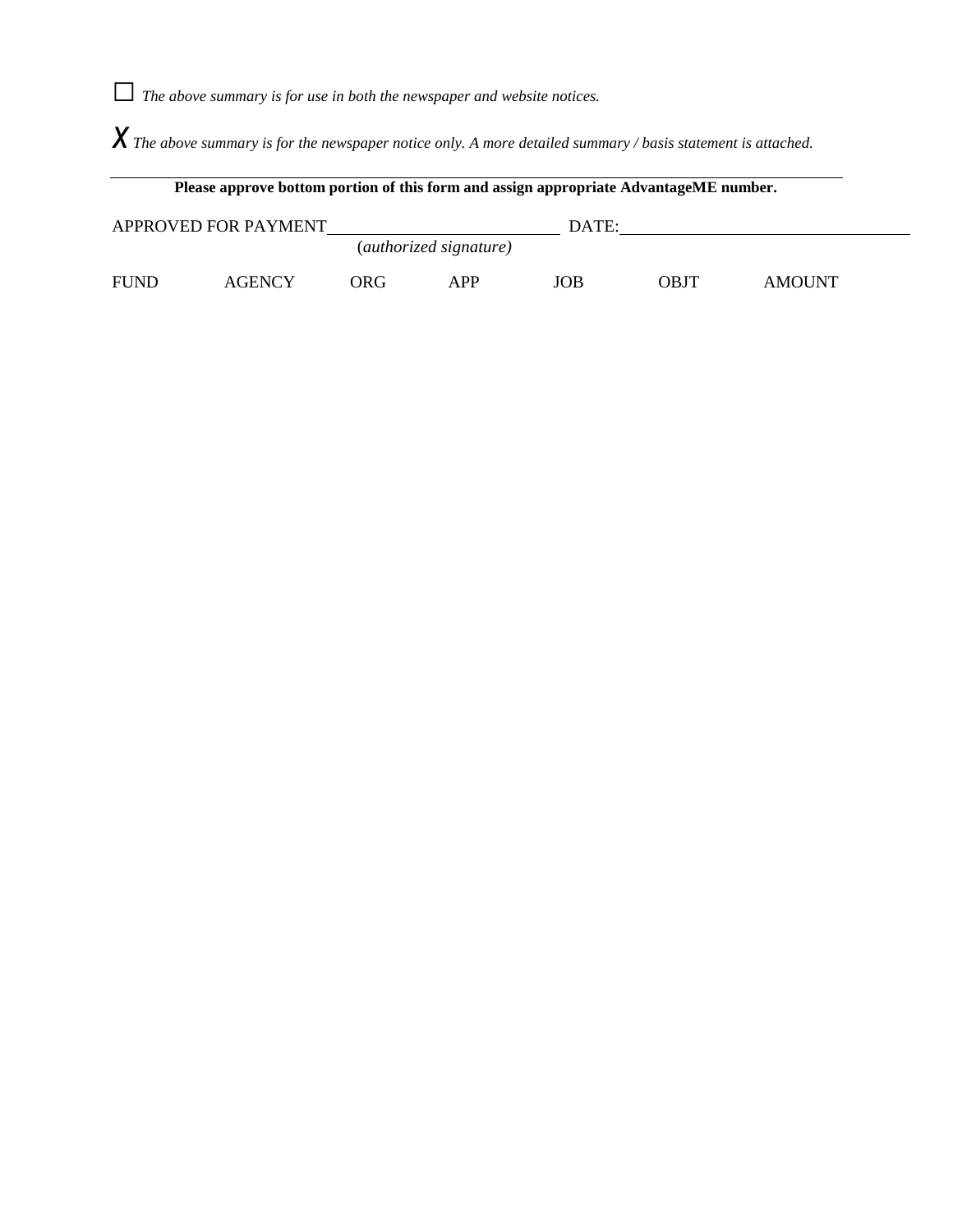*□The above summary is for use in both the newspaper and website notices.*

*x The above summary is for the newspaper notice only. A more detailed summary / basis statement is attached.*

| Please approve bottom portion of this form and assign appropriate AdvantageME number. |               |                                 |            |     |             |               |
|---------------------------------------------------------------------------------------|---------------|---------------------------------|------------|-----|-------------|---------------|
| APPROVED FOR PAYMENT                                                                  |               |                                 | DATE:      |     |             |               |
|                                                                                       |               | ( <i>authorized signature</i> ) |            |     |             |               |
| <b>FUND</b>                                                                           | <b>AGENCY</b> | ORG                             | <b>APP</b> | JOB | <b>OBJT</b> | <b>AMOUNT</b> |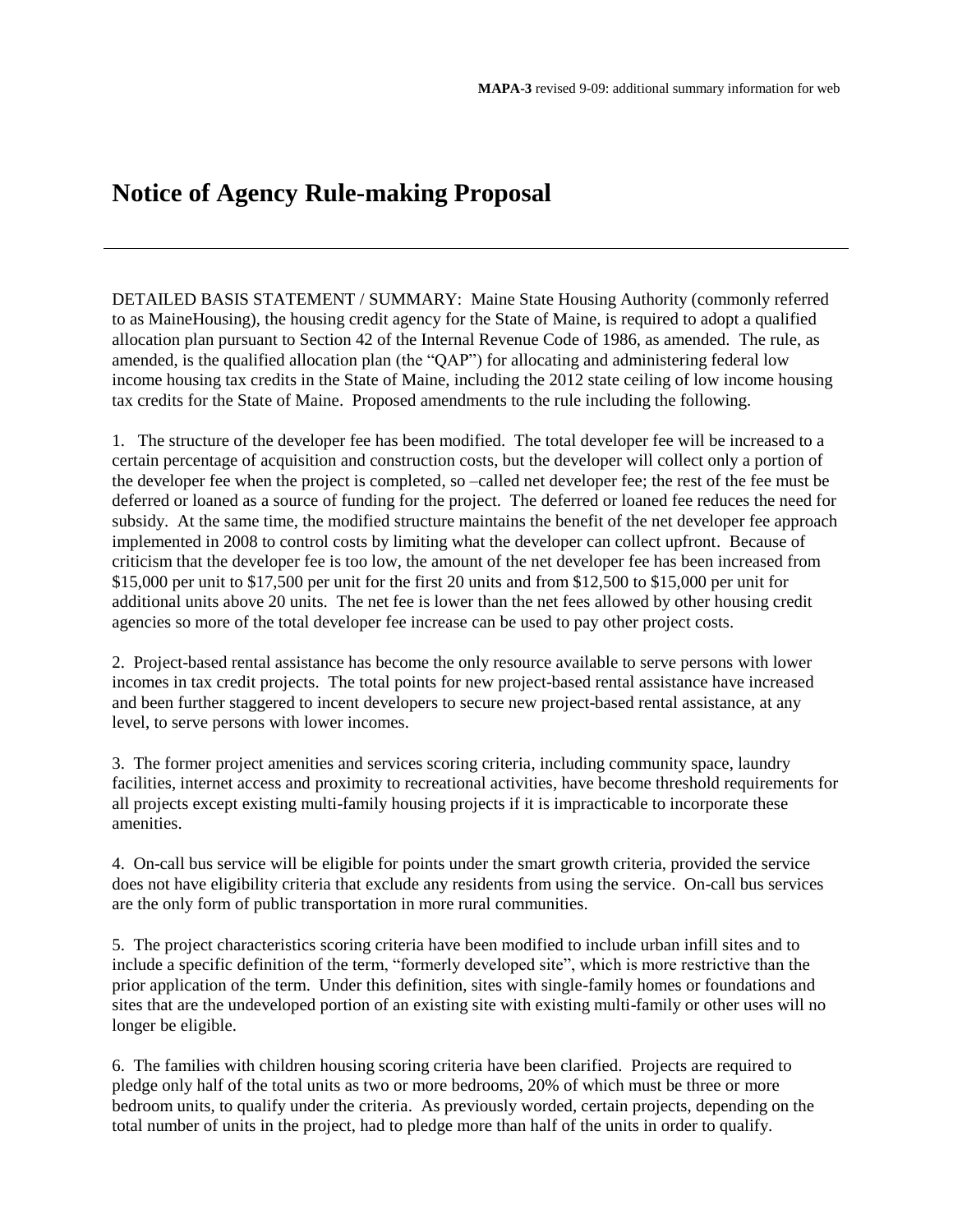# **Notice of Agency Rule-making Proposal**

DETAILED BASIS STATEMENT / SUMMARY: Maine State Housing Authority (commonly referred to as MaineHousing), the housing credit agency for the State of Maine, is required to adopt a qualified allocation plan pursuant to Section 42 of the Internal Revenue Code of 1986, as amended. The rule, as amended, is the qualified allocation plan (the "QAP") for allocating and administering federal low income housing tax credits in the State of Maine, including the 2012 state ceiling of low income housing tax credits for the State of Maine. Proposed amendments to the rule including the following.

1. The structure of the developer fee has been modified. The total developer fee will be increased to a certain percentage of acquisition and construction costs, but the developer will collect only a portion of the developer fee when the project is completed, so –called net developer fee; the rest of the fee must be deferred or loaned as a source of funding for the project. The deferred or loaned fee reduces the need for subsidy. At the same time, the modified structure maintains the benefit of the net developer fee approach implemented in 2008 to control costs by limiting what the developer can collect upfront. Because of criticism that the developer fee is too low, the amount of the net developer fee has been increased from \$15,000 per unit to \$17,500 per unit for the first 20 units and from \$12,500 to \$15,000 per unit for additional units above 20 units. The net fee is lower than the net fees allowed by other housing credit agencies so more of the total developer fee increase can be used to pay other project costs.

2. Project-based rental assistance has become the only resource available to serve persons with lower incomes in tax credit projects. The total points for new project-based rental assistance have increased and been further staggered to incent developers to secure new project-based rental assistance, at any level, to serve persons with lower incomes.

3. The former project amenities and services scoring criteria, including community space, laundry facilities, internet access and proximity to recreational activities, have become threshold requirements for all projects except existing multi-family housing projects if it is impracticable to incorporate these amenities.

4. On-call bus service will be eligible for points under the smart growth criteria, provided the service does not have eligibility criteria that exclude any residents from using the service. On-call bus services are the only form of public transportation in more rural communities.

5. The project characteristics scoring criteria have been modified to include urban infill sites and to include a specific definition of the term, "formerly developed site", which is more restrictive than the prior application of the term. Under this definition, sites with single-family homes or foundations and sites that are the undeveloped portion of an existing site with existing multi-family or other uses will no longer be eligible.

6. The families with children housing scoring criteria have been clarified. Projects are required to pledge only half of the total units as two or more bedrooms, 20% of which must be three or more bedroom units, to qualify under the criteria. As previously worded, certain projects, depending on the total number of units in the project, had to pledge more than half of the units in order to qualify.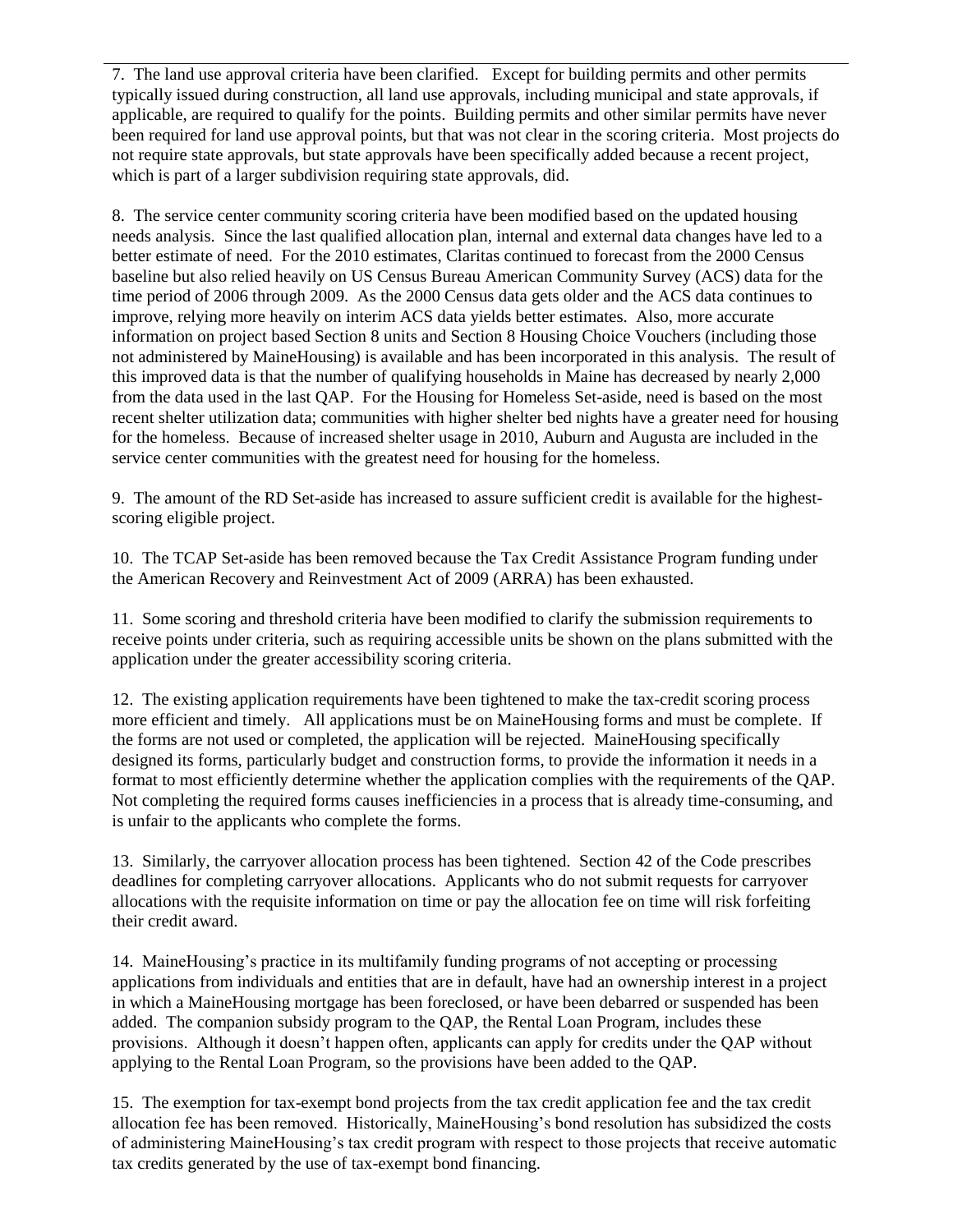7. The land use approval criteria have been clarified. Except for building permits and other permits typically issued during construction, all land use approvals, including municipal and state approvals, if applicable, are required to qualify for the points. Building permits and other similar permits have never been required for land use approval points, but that was not clear in the scoring criteria. Most projects do not require state approvals, but state approvals have been specifically added because a recent project, which is part of a larger subdivision requiring state approvals, did.

8. The service center community scoring criteria have been modified based on the updated housing needs analysis. Since the last qualified allocation plan, internal and external data changes have led to a better estimate of need. For the 2010 estimates, Claritas continued to forecast from the 2000 Census baseline but also relied heavily on US Census Bureau American Community Survey (ACS) data for the time period of 2006 through 2009. As the 2000 Census data gets older and the ACS data continues to improve, relying more heavily on interim ACS data yields better estimates. Also, more accurate information on project based Section 8 units and Section 8 Housing Choice Vouchers (including those not administered by MaineHousing) is available and has been incorporated in this analysis. The result of this improved data is that the number of qualifying households in Maine has decreased by nearly 2,000 from the data used in the last QAP. For the Housing for Homeless Set-aside, need is based on the most recent shelter utilization data; communities with higher shelter bed nights have a greater need for housing for the homeless. Because of increased shelter usage in 2010, Auburn and Augusta are included in the service center communities with the greatest need for housing for the homeless.

9. The amount of the RD Set-aside has increased to assure sufficient credit is available for the highestscoring eligible project.

10. The TCAP Set-aside has been removed because the Tax Credit Assistance Program funding under the American Recovery and Reinvestment Act of 2009 (ARRA) has been exhausted.

11. Some scoring and threshold criteria have been modified to clarify the submission requirements to receive points under criteria, such as requiring accessible units be shown on the plans submitted with the application under the greater accessibility scoring criteria.

12. The existing application requirements have been tightened to make the tax-credit scoring process more efficient and timely. All applications must be on MaineHousing forms and must be complete. If the forms are not used or completed, the application will be rejected. MaineHousing specifically designed its forms, particularly budget and construction forms, to provide the information it needs in a format to most efficiently determine whether the application complies with the requirements of the QAP. Not completing the required forms causes inefficiencies in a process that is already time-consuming, and is unfair to the applicants who complete the forms.

13. Similarly, the carryover allocation process has been tightened. Section 42 of the Code prescribes deadlines for completing carryover allocations. Applicants who do not submit requests for carryover allocations with the requisite information on time or pay the allocation fee on time will risk forfeiting their credit award.

14. MaineHousing's practice in its multifamily funding programs of not accepting or processing applications from individuals and entities that are in default, have had an ownership interest in a project in which a MaineHousing mortgage has been foreclosed, or have been debarred or suspended has been added. The companion subsidy program to the QAP, the Rental Loan Program, includes these provisions. Although it doesn't happen often, applicants can apply for credits under the QAP without applying to the Rental Loan Program, so the provisions have been added to the QAP.

15. The exemption for tax-exempt bond projects from the tax credit application fee and the tax credit allocation fee has been removed. Historically, MaineHousing's bond resolution has subsidized the costs of administering MaineHousing's tax credit program with respect to those projects that receive automatic tax credits generated by the use of tax-exempt bond financing.